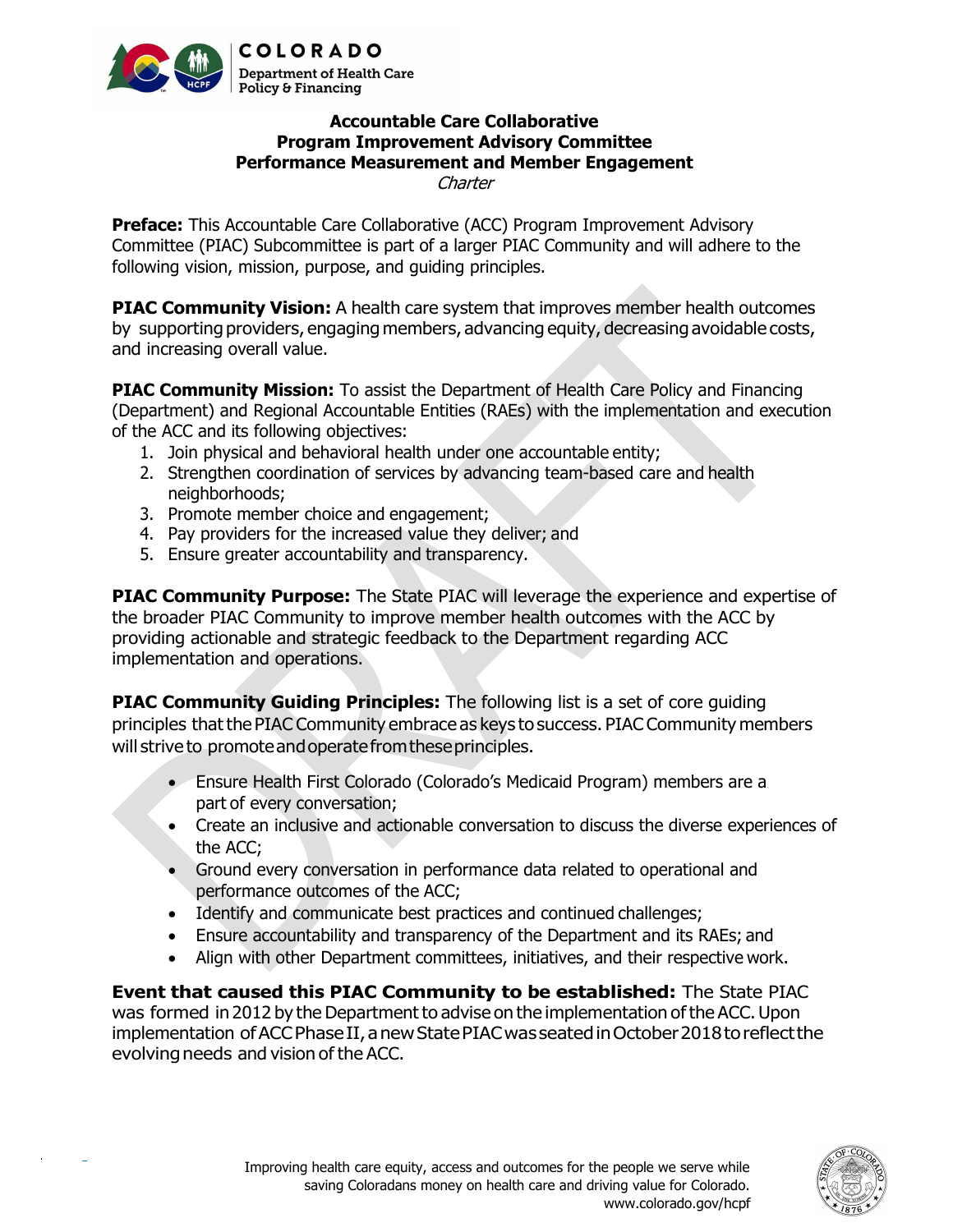

## Accountable Care Collaborative Program Improvement Advisory Committee Performance Measurement and Member Engagement **Charter**

**Preface:** This Accountable Care Collaborative (ACC) Program Improvement Advisory Committee (PIAC) Subcommittee is part of a larger PIAC Community and will adhere to the following vision, mission, purpose, and guiding principles.

**PIAC Community Vision:** A health care system that improves member health outcomes by supporting providers, engaging members, advancing equity, decreasing avoidable costs, and increasing overall value.

**PIAC Community Mission:** To assist the Department of Health Care Policy and Financing (Department) and Regional Accountable Entities (RAEs) with the implementation and execution of the ACC and its following objectives:

- 1. Join physical and behavioral health under one accountable entity;
- 2. Strengthen coordination of services by advancing team-based care and health neighborhoods;
- 3. Promote member choice and engagement;
- 4. Pay providers for the increased value they deliver; and
- 5. Ensure greater accountability and transparency.

**PIAC Community Purpose:** The State PIAC will leverage the experience and expertise of the broader PIAC Community to improve member health outcomes with the ACC by providing actionable and strategic feedback to the Department regarding ACC implementation and operations.

**PIAC Community Guiding Principles:** The following list is a set of core guiding principles that the PIAC Community embrace as keys to success. PIAC Community members will strive to promote and operate from these principles.

- Ensure Health First Colorado (Colorado's Medicaid Program) members are a part of every conversation;
- Create an inclusive and actionable conversation to discuss the diverse experiences of the ACC;
- Ground every conversation in performance data related to operational and performance outcomes of the ACC;
- Identify and communicate best practices and continued challenges;
- Ensure accountability and transparency of the Department and its RAEs; and
- Align with other Department committees, initiatives, and their respective work.

Event that caused this PIAC Community to be established: The State PIAC was formed in 2012 by the Department to advise on the implementation of the ACC. Upon implementation of ACC Phase II, a new State PIAC was seated in October 2018 to reflect the evolving needs and vision of the ACC.

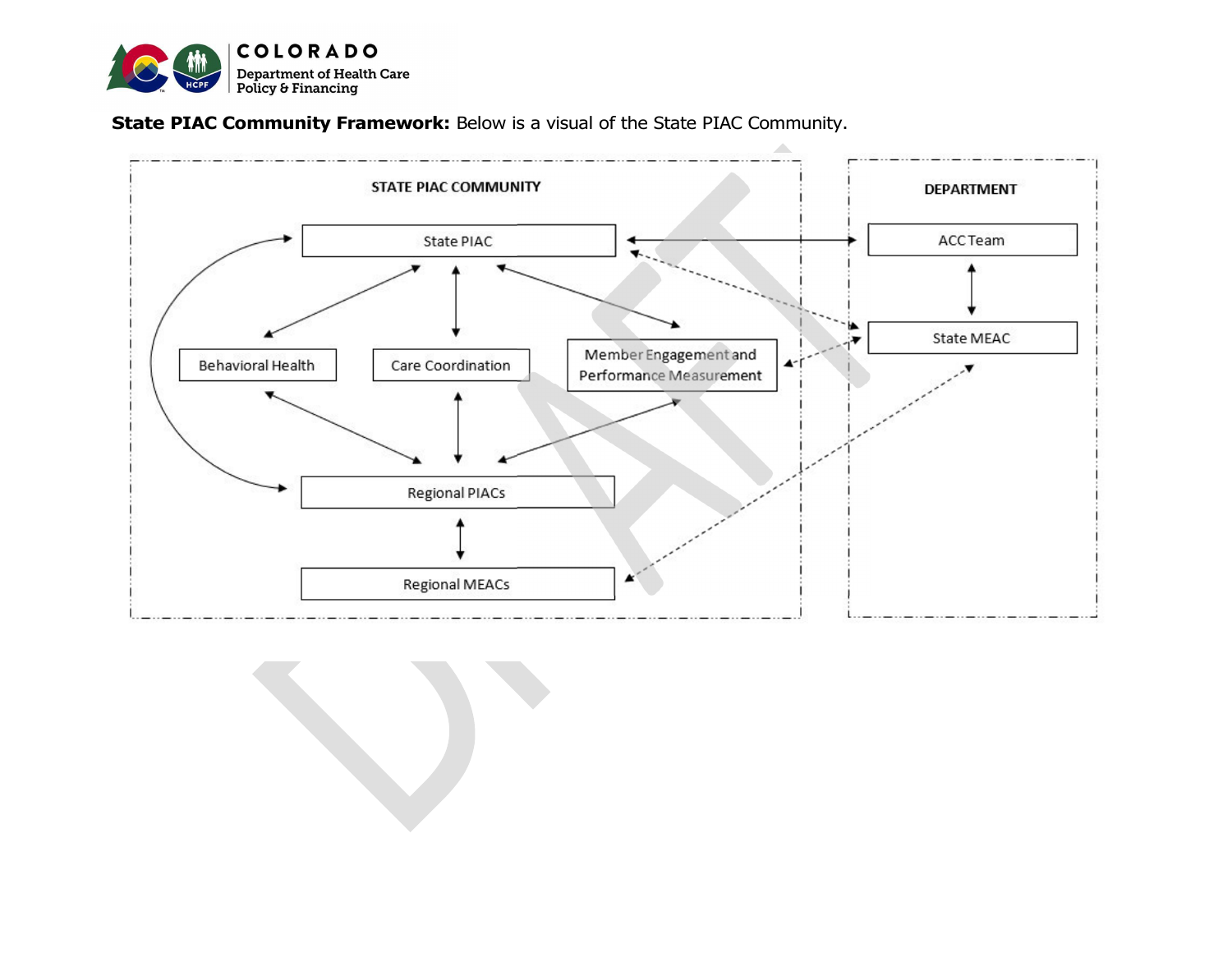

State PIAC Community Framework: Below is a visual of the State PIAC Community.



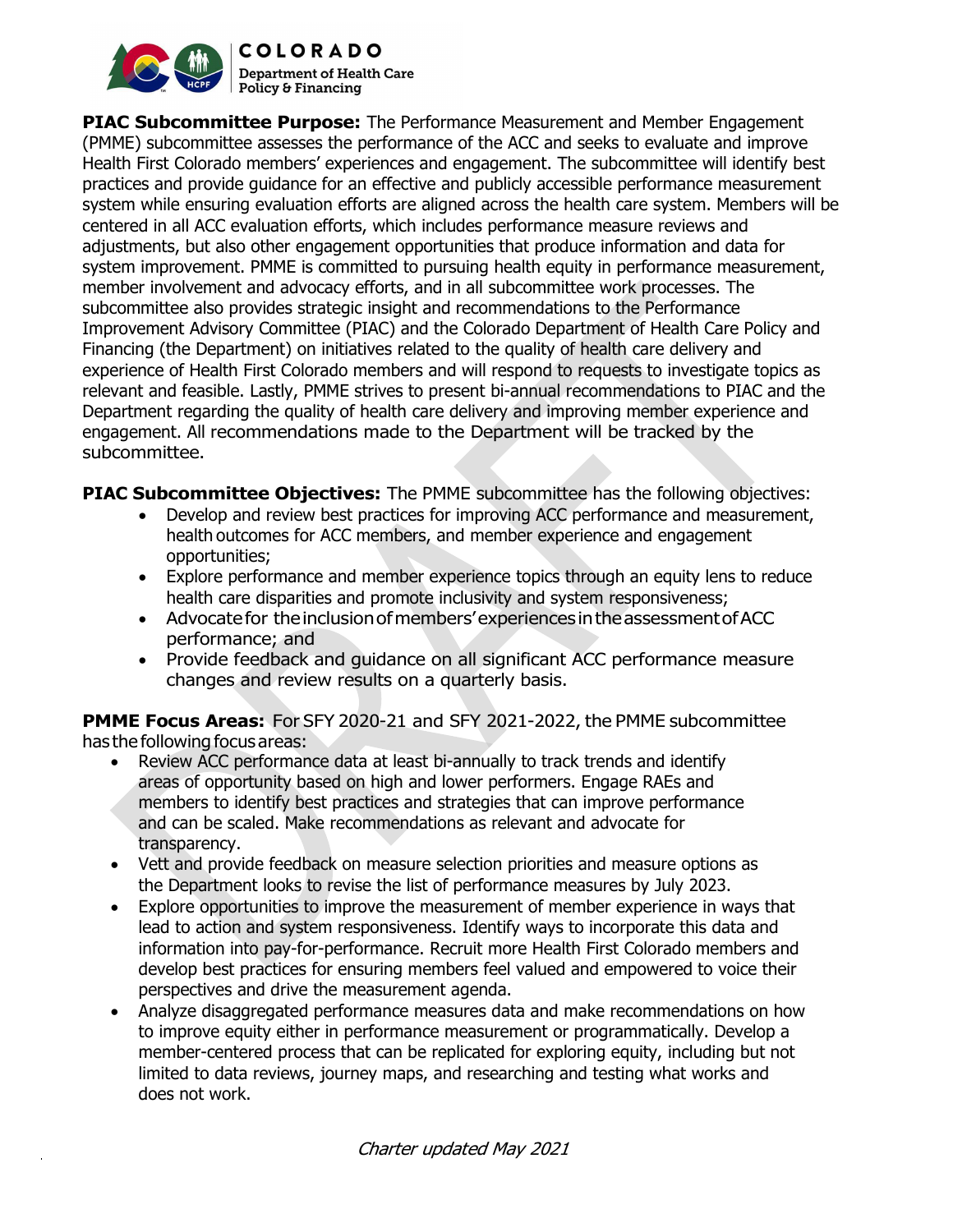

**COLORADO Department of Health Care** Policy & Financing

**PIAC Subcommittee Purpose:** The Performance Measurement and Member Engagement (PMME) subcommittee assesses the performance of the ACC and seeks to evaluate and improve Health First Colorado members' experiences and engagement. The subcommittee will identify best practices and provide guidance for an effective and publicly accessible performance measurement system while ensuring evaluation efforts are aligned across the health care system. Members will be centered in all ACC evaluation efforts, which includes performance measure reviews and adjustments, but also other engagement opportunities that produce information and data for system improvement. PMME is committed to pursuing health equity in performance measurement, member involvement and advocacy efforts, and in all subcommittee work processes. The subcommittee also provides strategic insight and recommendations to the Performance Improvement Advisory Committee (PIAC) and the Colorado Department of Health Care Policy and Financing (the Department) on initiatives related to the quality of health care delivery and experience of Health First Colorado members and will respond to requests to investigate topics as relevant and feasible. Lastly, PMME strives to present bi-annual recommendations to PIAC and the Department regarding the quality of health care delivery and improving member experience and engagement. All recommendations made to the Department will be tracked by the subcommittee.

**PIAC Subcommittee Objectives:** The PMME subcommittee has the following objectives:

- Develop and review best practices for improving ACC performance and measurement, health outcomes for ACC members, and member experience and engagement opportunities;
- Explore performance and member experience topics through an equity lens to reduce health care disparities and promote inclusivity and system responsiveness;
- Advocate for the inclusion of members' experiences in the assessment of ACC performance; and
- Provide feedback and guidance on all significant ACC performance measure changes and review results on a quarterly basis.

PMME Focus Areas: For SFY 2020-21 and SFY 2021-2022, the PMME subcommittee has the following focus areas:

- Review ACC performance data at least bi-annually to track trends and identify areas of opportunity based on high and lower performers. Engage RAEs and members to identify best practices and strategies that can improve performance and can be scaled. Make recommendations as relevant and advocate for transparency.
- Vett and provide feedback on measure selection priorities and measure options as the Department looks to revise the list of performance measures by July 2023.
- Explore opportunities to improve the measurement of member experience in ways that lead to action and system responsiveness. Identify ways to incorporate this data and information into pay-for-performance. Recruit more Health First Colorado members and develop best practices for ensuring members feel valued and empowered to voice their perspectives and drive the measurement agenda.
- Analyze disaggregated performance measures data and make recommendations on how to improve equity either in performance measurement or programmatically. Develop a member-centered process that can be replicated for exploring equity, including but not limited to data reviews, journey maps, and researching and testing what works and does not work.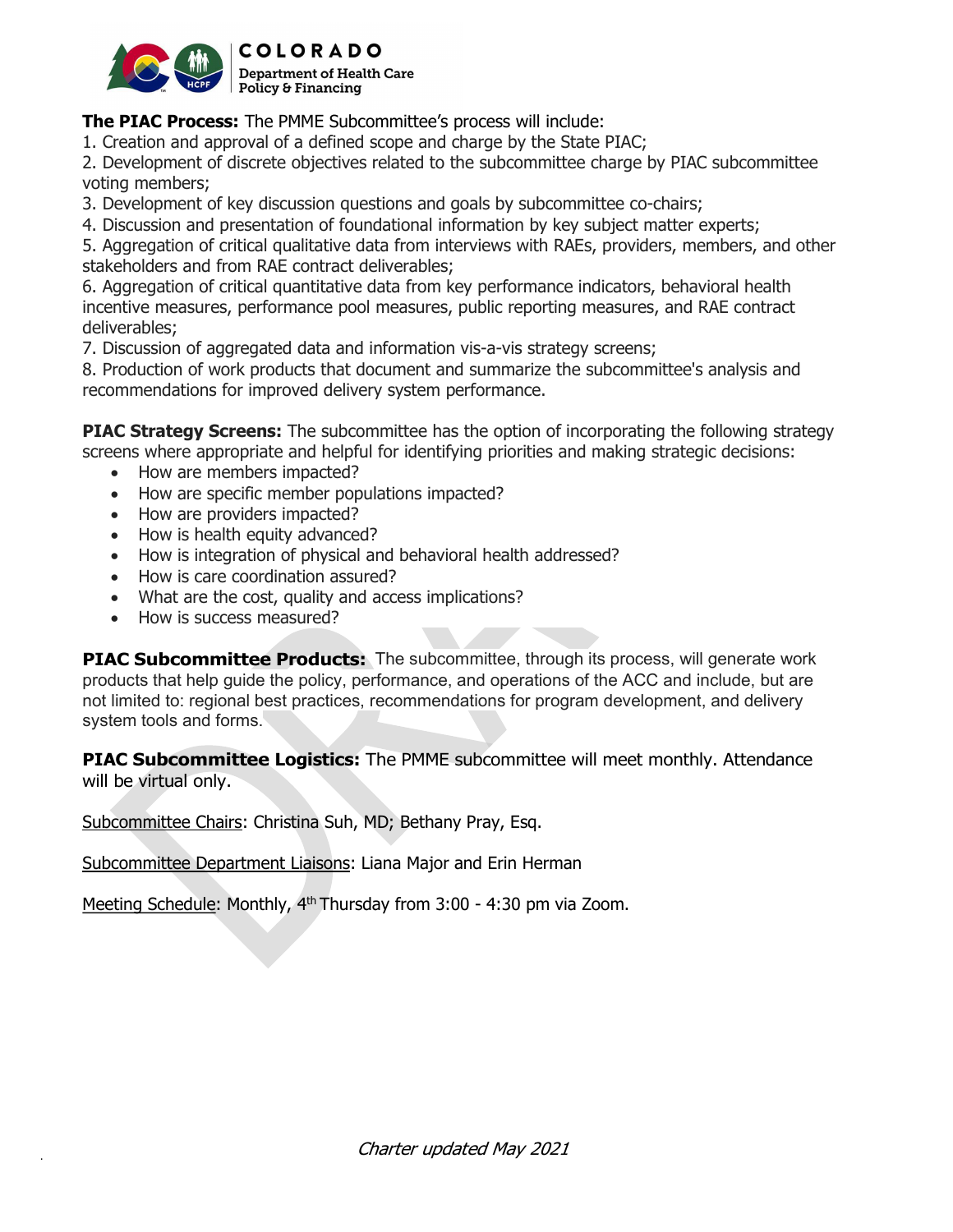

The PIAC Process: The PMME Subcommittee's process will include:

1. Creation and approval of a defined scope and charge by the State PIAC;

2. Development of discrete objectives related to the subcommittee charge by PIAC subcommittee voting members;

3. Development of key discussion questions and goals by subcommittee co-chairs;

4. Discussion and presentation of foundational information by key subject matter experts;

5. Aggregation of critical qualitative data from interviews with RAEs, providers, members, and other stakeholders and from RAE contract deliverables;

6. Aggregation of critical quantitative data from key performance indicators, behavioral health incentive measures, performance pool measures, public reporting measures, and RAE contract deliverables;

7. Discussion of aggregated data and information vis-a-vis strategy screens;

8. Production of work products that document and summarize the subcommittee's analysis and recommendations for improved delivery system performance.

**PIAC Strategy Screens:** The subcommittee has the option of incorporating the following strategy screens where appropriate and helpful for identifying priorities and making strategic decisions:

- How are members impacted?
- How are specific member populations impacted?
- How are providers impacted?
- How is health equity advanced?
- How is integration of physical and behavioral health addressed?
- How is care coordination assured?
- What are the cost, quality and access implications?
- How is success measured?

PIAC Subcommittee Products: The subcommittee, through its process, will generate work products that help guide the policy, performance, and operations of the ACC and include, but are not limited to: regional best practices, recommendations for program development, and delivery system tools and forms.

**PIAC Subcommittee Logistics:** The PMME subcommittee will meet monthly. Attendance will be virtual only.

Subcommittee Chairs: Christina Suh, MD; Bethany Pray, Esq.

Subcommittee Department Liaisons: Liana Major and Erin Herman

Meeting Schedule: Monthly, 4<sup>th</sup> Thursday from 3:00 - 4:30 pm via Zoom.